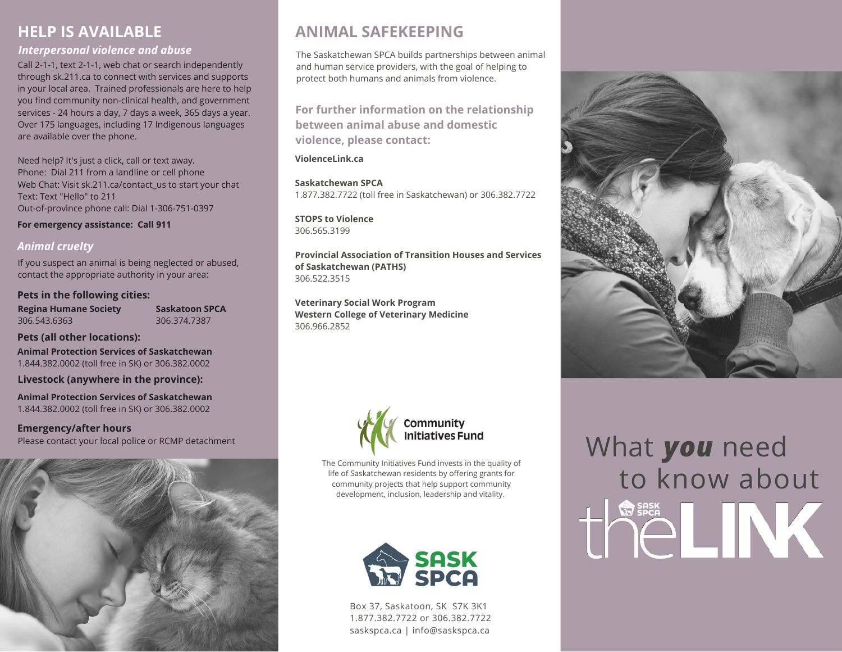## **HELP IS AVAILABLE**

### *Interpersonal violence and abuse*

Call 2-1-1, text 2-1-1, web chat or search independently through sk.211.ca to connect with services and supports in your local area. Trained professionals are here to help you find community non-clinical health, and government services - 24 hours a day, 7 days a week, 365 days a year. Over 175 languages, including 17 Indigenous languages are available over the phone.

Need help? It's just a click, call or text away. Phone: Dial 211 from a landline or cell phone Web Chat: Visit sk.211.ca/contact us to start your chat Text: Text "Hello" to 211 Out-of-province phone call: Dial 1-306-751-0397

**For emergency assistance: Call 911**

### *Animal cruelty*

If you suspect an animal is being neglected or abused, contact the appropriate authority in your area:

#### **Pets in the following cities:**

**Regina Humane Society** 306.543.6363

**Saskatoon SPCA** 306.374.7387

**Pets (all other locations):**

**Animal Protection Services of Saskatchewan** 1.844.382.0002 (toll free in SK) or 306.382.0002

**Livestock (anywhere in the province):**

**Animal Protection Services of Saskatchewan** 1.844.382.0002 (toll free in SK) or 306.382.0002

**Emergency/after hours** Please contact your local police or RCMP detachment



# **ANIMAL SAFEKEEPING**

The Saskatchewan SPCA builds partnerships between animal and human service providers, with the goal of helping to protect both humans and animals from violence.

**For further information on the relationship between animal abuse and domestic violence, please contact:**

**ViolenceLink.ca**

**Saskatchewan SPCA** 1.877.382.7722 (toll free in Saskatchewan) or 306.382.7722

**STOPS to Violence** 306.565.3199

**Provincial Association of Transition Houses and Services of Saskatchewan (PATHS)** 306.522.3515

**Veterinary Social Work Program Western College of Veterinary Medicine** 306.966.2852



The Community Initiatives Fund invests in the quality of life of Saskatchewan residents by offering grants for community projects that help support community development, inclusion, leadership and vitality.



Box 37, Saskatoon, SK S7K 3K1 1.877.382.7722 or 306.382.7722 saskspca.ca | info@saskspca.ca



# What *you* need to know about the LINK